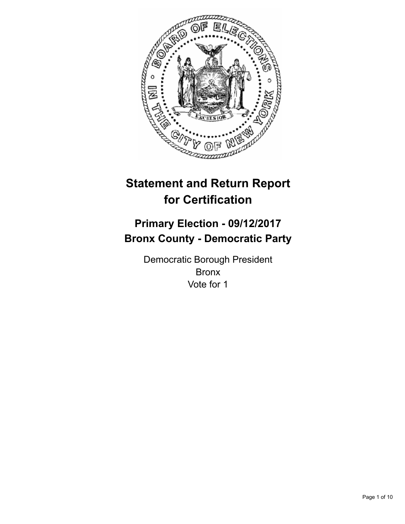

# **Statement and Return Report for Certification**

## **Primary Election - 09/12/2017 Bronx County - Democratic Party**

Democratic Borough President Bronx Vote for 1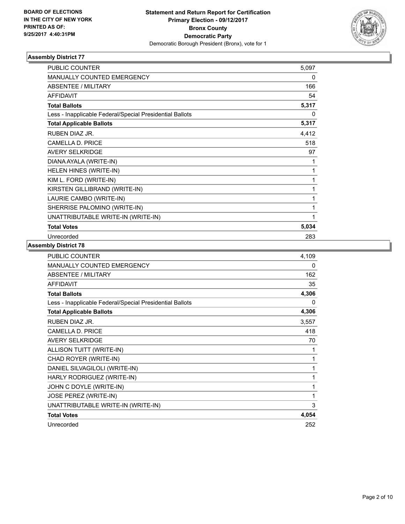

| <b>PUBLIC COUNTER</b>                                    | 5,097        |
|----------------------------------------------------------|--------------|
| <b>MANUALLY COUNTED EMERGENCY</b>                        | 0            |
| ABSENTEE / MILITARY                                      | 166          |
| <b>AFFIDAVIT</b>                                         | 54           |
| <b>Total Ballots</b>                                     | 5,317        |
| Less - Inapplicable Federal/Special Presidential Ballots | 0            |
| <b>Total Applicable Ballots</b>                          | 5,317        |
| RUBEN DIAZ JR.                                           | 4,412        |
| <b>CAMELLA D. PRICE</b>                                  | 518          |
| <b>AVERY SELKRIDGE</b>                                   | 97           |
| DIANA AYALA (WRITE-IN)                                   | 1            |
| HELEN HINES (WRITE-IN)                                   | 1            |
| KIM L. FORD (WRITE-IN)                                   | $\mathbf{1}$ |
| KIRSTEN GILLIBRAND (WRITE-IN)                            | 1            |
| LAURIE CAMBO (WRITE-IN)                                  | 1            |
| SHERRISE PALOMINO (WRITE-IN)                             | 1            |
| UNATTRIBUTABLE WRITE-IN (WRITE-IN)                       | 1            |
| <b>Total Votes</b>                                       | 5,034        |
| Unrecorded                                               | 283          |

| PUBLIC COUNTER                                           | 4,109 |
|----------------------------------------------------------|-------|
| MANUALLY COUNTED EMERGENCY                               | 0     |
| ABSENTEE / MILITARY                                      | 162   |
| <b>AFFIDAVIT</b>                                         | 35    |
| <b>Total Ballots</b>                                     | 4,306 |
| Less - Inapplicable Federal/Special Presidential Ballots | 0     |
| <b>Total Applicable Ballots</b>                          | 4,306 |
| <b>RUBEN DIAZ JR.</b>                                    | 3,557 |
| <b>CAMELLA D. PRICE</b>                                  | 418   |
| <b>AVERY SELKRIDGE</b>                                   | 70    |
| ALLISON TUITT (WRITE-IN)                                 | 1     |
| CHAD ROYER (WRITE-IN)                                    | 1     |
| DANIEL SILVAGILOLI (WRITE-IN)                            | 1     |
| HARLY RODRIGUEZ (WRITE-IN)                               | 1     |
| JOHN C DOYLE (WRITE-IN)                                  | 1     |
| JOSE PEREZ (WRITE-IN)                                    | 1     |
| UNATTRIBUTABLE WRITE-IN (WRITE-IN)                       | 3     |
| <b>Total Votes</b>                                       | 4,054 |
| Unrecorded                                               | 252   |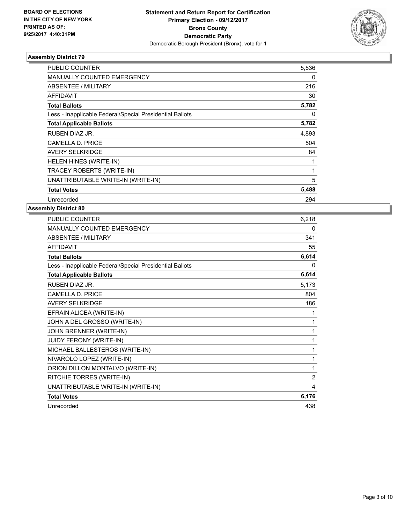

| <b>PUBLIC COUNTER</b>                                    | 5,536 |
|----------------------------------------------------------|-------|
| <b>MANUALLY COUNTED EMERGENCY</b>                        | 0     |
| ABSENTEE / MILITARY                                      | 216   |
| <b>AFFIDAVIT</b>                                         | 30    |
| <b>Total Ballots</b>                                     | 5,782 |
| Less - Inapplicable Federal/Special Presidential Ballots | 0     |
| <b>Total Applicable Ballots</b>                          | 5,782 |
| RUBEN DIAZ JR.                                           | 4,893 |
| CAMELLA D. PRICE                                         | 504   |
| <b>AVERY SELKRIDGE</b>                                   | 84    |
| HELEN HINES (WRITE-IN)                                   |       |
| <b>TRACEY ROBERTS (WRITE-IN)</b>                         | 1     |
| UNATTRIBUTABLE WRITE-IN (WRITE-IN)                       | 5     |
| <b>Total Votes</b>                                       | 5,488 |
| Unrecorded                                               | 294   |

| <b>PUBLIC COUNTER</b>                                    | 6,218          |
|----------------------------------------------------------|----------------|
| <b>MANUALLY COUNTED EMERGENCY</b>                        | 0              |
| <b>ABSENTEE / MILITARY</b>                               | 341            |
| <b>AFFIDAVIT</b>                                         | 55             |
| <b>Total Ballots</b>                                     | 6,614          |
| Less - Inapplicable Federal/Special Presidential Ballots | 0              |
| <b>Total Applicable Ballots</b>                          | 6,614          |
| RUBEN DIAZ JR.                                           | 5,173          |
| CAMELLA D. PRICE                                         | 804            |
| <b>AVERY SELKRIDGE</b>                                   | 186            |
| EFRAIN ALICEA (WRITE-IN)                                 | 1              |
| JOHN A DEL GROSSO (WRITE-IN)                             | 1              |
| JOHN BRENNER (WRITE-IN)                                  | 1              |
| JUIDY FERONY (WRITE-IN)                                  | 1              |
| MICHAEL BALLESTEROS (WRITE-IN)                           | 1              |
| NIVAROLO LOPEZ (WRITE-IN)                                | 1              |
| ORION DILLON MONTALVO (WRITE-IN)                         | 1              |
| RITCHIE TORRES (WRITE-IN)                                | $\overline{2}$ |
| UNATTRIBUTABLE WRITE-IN (WRITE-IN)                       | 4              |
| <b>Total Votes</b>                                       | 6,176          |
| Unrecorded                                               | 438            |
|                                                          |                |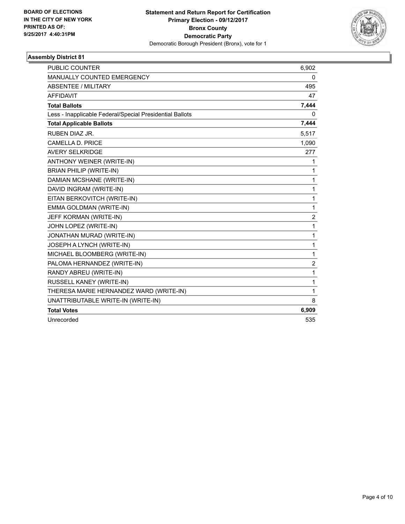

| <b>PUBLIC COUNTER</b>                                    | 6,902          |
|----------------------------------------------------------|----------------|
| <b>MANUALLY COUNTED EMERGENCY</b>                        | 0              |
| <b>ABSENTEE / MILITARY</b>                               | 495            |
| <b>AFFIDAVIT</b>                                         | 47             |
| <b>Total Ballots</b>                                     | 7,444          |
| Less - Inapplicable Federal/Special Presidential Ballots | 0              |
| <b>Total Applicable Ballots</b>                          | 7,444          |
| RUBEN DIAZ JR.                                           | 5,517          |
| CAMELLA D. PRICE                                         | 1,090          |
| <b>AVERY SELKRIDGE</b>                                   | 277            |
| ANTHONY WEINER (WRITE-IN)                                | 1              |
| <b>BRIAN PHILIP (WRITE-IN)</b>                           | 1              |
| DAMIAN MCSHANE (WRITE-IN)                                | $\mathbf{1}$   |
| DAVID INGRAM (WRITE-IN)                                  | $\mathbf{1}$   |
| EITAN BERKOVITCH (WRITE-IN)                              | 1              |
| EMMA GOLDMAN (WRITE-IN)                                  | $\mathbf{1}$   |
| JEFF KORMAN (WRITE-IN)                                   | 2              |
| JOHN LOPEZ (WRITE-IN)                                    | 1              |
| JONATHAN MURAD (WRITE-IN)                                | $\mathbf{1}$   |
| JOSEPH A LYNCH (WRITE-IN)                                | $\mathbf{1}$   |
| MICHAEL BLOOMBERG (WRITE-IN)                             | $\mathbf{1}$   |
| PALOMA HERNANDEZ (WRITE-IN)                              | $\overline{c}$ |
| RANDY ABREU (WRITE-IN)                                   | 1              |
| RUSSELL KANEY (WRITE-IN)                                 | 1              |
| THERESA MARIE HERNANDEZ WARD (WRITE-IN)                  | 1              |
| UNATTRIBUTABLE WRITE-IN (WRITE-IN)                       | 8              |
| <b>Total Votes</b>                                       | 6,909          |
| Unrecorded                                               | 535            |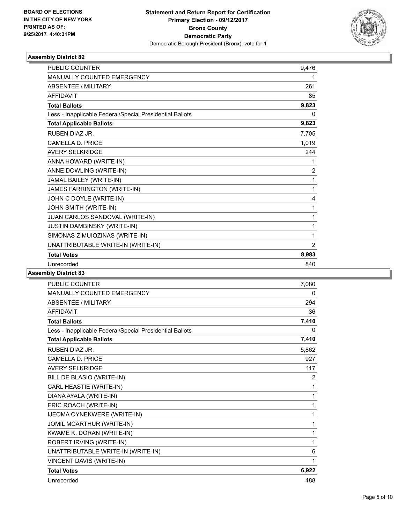

| <b>PUBLIC COUNTER</b>                                    | 9,476 |
|----------------------------------------------------------|-------|
| MANUALLY COUNTED EMERGENCY                               | 1     |
| <b>ABSENTEE / MILITARY</b>                               | 261   |
| <b>AFFIDAVIT</b>                                         | 85    |
| <b>Total Ballots</b>                                     | 9,823 |
| Less - Inapplicable Federal/Special Presidential Ballots | 0     |
| <b>Total Applicable Ballots</b>                          | 9,823 |
| RUBEN DIAZ JR.                                           | 7,705 |
| <b>CAMELLA D. PRICE</b>                                  | 1,019 |
| <b>AVERY SELKRIDGE</b>                                   | 244   |
| ANNA HOWARD (WRITE-IN)                                   | 1     |
| ANNE DOWLING (WRITE-IN)                                  | 2     |
| JAMAL BAILEY (WRITE-IN)                                  | 1     |
| JAMES FARRINGTON (WRITE-IN)                              | 1     |
| JOHN C DOYLE (WRITE-IN)                                  | 4     |
| JOHN SMITH (WRITE-IN)                                    | 1     |
| JUAN CARLOS SANDOVAL (WRITE-IN)                          | 1     |
| JUSTIN DAMBINSKY (WRITE-IN)                              | 1     |
| SIMONAS ZIMUIOZINAS (WRITE-IN)                           | 1     |
| UNATTRIBUTABLE WRITE-IN (WRITE-IN)                       | 2     |
| <b>Total Votes</b>                                       | 8,983 |
| Unrecorded                                               | 840   |
|                                                          |       |

| <b>PUBLIC COUNTER</b>                                    | 7,080        |
|----------------------------------------------------------|--------------|
| MANUALLY COUNTED EMERGENCY                               | $\mathbf{0}$ |
| ABSENTEE / MILITARY                                      | 294          |
| AFFIDAVIT                                                | 36           |
| <b>Total Ballots</b>                                     | 7,410        |
| Less - Inapplicable Federal/Special Presidential Ballots | 0            |
| <b>Total Applicable Ballots</b>                          | 7,410        |
| RUBEN DIAZ JR.                                           | 5,862        |
| CAMELLA D. PRICE                                         | 927          |
| <b>AVERY SELKRIDGE</b>                                   | 117          |
| BILL DE BLASIO (WRITE-IN)                                | 2            |
| CARL HEASTIE (WRITE-IN)                                  | 1            |
| DIANA AYALA (WRITE-IN)                                   | 1            |
| ERIC ROACH (WRITE-IN)                                    | 1            |
| IJEOMA OYNEKWERE (WRITE-IN)                              | 1            |
| JOMIL MCARTHUR (WRITE-IN)                                | 1            |
| KWAME K. DORAN (WRITE-IN)                                | 1            |
| ROBERT IRVING (WRITE-IN)                                 | 1            |
| UNATTRIBUTABLE WRITE-IN (WRITE-IN)                       | 6            |
| VINCENT DAVIS (WRITE-IN)                                 | 1            |
| <b>Total Votes</b>                                       | 6,922        |
| Unrecorded                                               | 488          |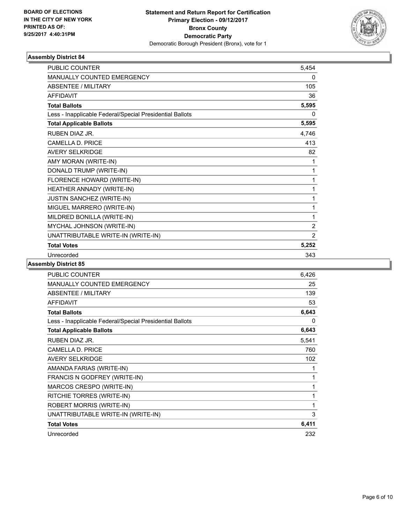

| <b>PUBLIC COUNTER</b>                                    | 5,454          |
|----------------------------------------------------------|----------------|
| MANUALLY COUNTED EMERGENCY                               | 0              |
| <b>ABSENTEE / MILITARY</b>                               | 105            |
| <b>AFFIDAVIT</b>                                         | 36             |
| <b>Total Ballots</b>                                     | 5,595          |
| Less - Inapplicable Federal/Special Presidential Ballots | 0              |
| <b>Total Applicable Ballots</b>                          | 5,595          |
| RUBEN DIAZ JR.                                           | 4,746          |
| CAMELLA D. PRICE                                         | 413            |
| <b>AVERY SELKRIDGE</b>                                   | 82             |
| AMY MORAN (WRITE-IN)                                     | 1              |
| DONALD TRUMP (WRITE-IN)                                  | 1              |
| FLORENCE HOWARD (WRITE-IN)                               | 1              |
| HEATHER ANNADY (WRITE-IN)                                | 1              |
| <b>JUSTIN SANCHEZ (WRITE-IN)</b>                         | 1              |
| MIGUEL MARRERO (WRITE-IN)                                | 1              |
| MILDRED BONILLA (WRITE-IN)                               | 1              |
| MYCHAL JOHNSON (WRITE-IN)                                | $\overline{2}$ |
| UNATTRIBUTABLE WRITE-IN (WRITE-IN)                       | $\overline{2}$ |
| <b>Total Votes</b>                                       | 5,252          |
| Unrecorded                                               | 343            |

| PUBLIC COUNTER                                           | 6.426 |
|----------------------------------------------------------|-------|
| <b>MANUALLY COUNTED EMERGENCY</b>                        | 25    |
| ABSENTEE / MILITARY                                      | 139   |
| <b>AFFIDAVIT</b>                                         | 53    |
| <b>Total Ballots</b>                                     | 6,643 |
| Less - Inapplicable Federal/Special Presidential Ballots | 0     |
| <b>Total Applicable Ballots</b>                          | 6,643 |
| RUBEN DIAZ JR.                                           | 5,541 |
| <b>CAMELLA D. PRICE</b>                                  | 760   |
| <b>AVERY SELKRIDGE</b>                                   | 102   |
| AMANDA FARIAS (WRITE-IN)                                 | 1     |
| FRANCIS N GODFREY (WRITE-IN)                             | 1     |
| MARCOS CRESPO (WRITE-IN)                                 | 1     |
| RITCHIE TORRES (WRITE-IN)                                | 1     |
| <b>ROBERT MORRIS (WRITE-IN)</b>                          | 1     |
| UNATTRIBUTABLE WRITE-IN (WRITE-IN)                       | 3     |
| <b>Total Votes</b>                                       | 6,411 |
| Unrecorded                                               | 232   |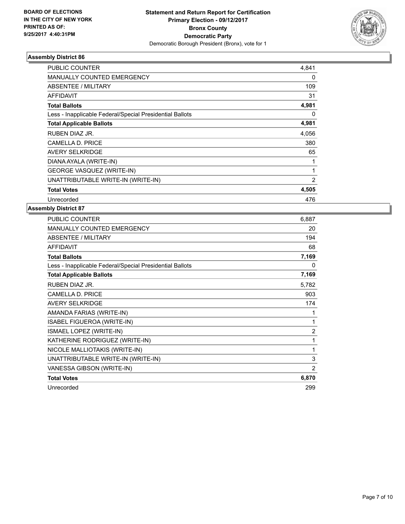

| <b>PUBLIC COUNTER</b>                                    | 4,841          |
|----------------------------------------------------------|----------------|
| <b>MANUALLY COUNTED EMERGENCY</b>                        | 0              |
| ABSENTEE / MILITARY                                      | 109            |
| AFFIDAVIT                                                | 31             |
| <b>Total Ballots</b>                                     | 4,981          |
| Less - Inapplicable Federal/Special Presidential Ballots | 0              |
| <b>Total Applicable Ballots</b>                          | 4,981          |
| RUBEN DIAZ JR.                                           | 4,056          |
| <b>CAMELLA D. PRICE</b>                                  | 380            |
| <b>AVERY SELKRIDGE</b>                                   | 65             |
| DIANA AYALA (WRITE-IN)                                   |                |
| <b>GEORGE VASQUEZ (WRITE-IN)</b>                         | $\mathbf{1}$   |
| UNATTRIBUTABLE WRITE-IN (WRITE-IN)                       | $\overline{2}$ |
| <b>Total Votes</b>                                       | 4,505          |
| Unrecorded                                               | 476            |

| <b>PUBLIC COUNTER</b>                                    | 6,887          |
|----------------------------------------------------------|----------------|
| MANUALLY COUNTED EMERGENCY                               | 20             |
| ABSENTEE / MILITARY                                      | 194            |
| <b>AFFIDAVIT</b>                                         | 68             |
| <b>Total Ballots</b>                                     | 7,169          |
| Less - Inapplicable Federal/Special Presidential Ballots | 0              |
| <b>Total Applicable Ballots</b>                          | 7,169          |
| RUBEN DIAZ JR.                                           | 5,782          |
| CAMELLA D. PRICE                                         | 903            |
| <b>AVERY SELKRIDGE</b>                                   | 174            |
| AMANDA FARIAS (WRITE-IN)                                 |                |
| ISABEL FIGUEROA (WRITE-IN)                               | 1              |
| ISMAEL LOPEZ (WRITE-IN)                                  | $\overline{2}$ |
| KATHERINE RODRIGUEZ (WRITE-IN)                           | 1              |
| NICOLE MALLIOTAKIS (WRITE-IN)                            | 1              |
| UNATTRIBUTABLE WRITE-IN (WRITE-IN)                       | 3              |
| VANESSA GIBSON (WRITE-IN)                                | 2              |
| <b>Total Votes</b>                                       | 6,870          |
| Unrecorded                                               | 299            |
|                                                          |                |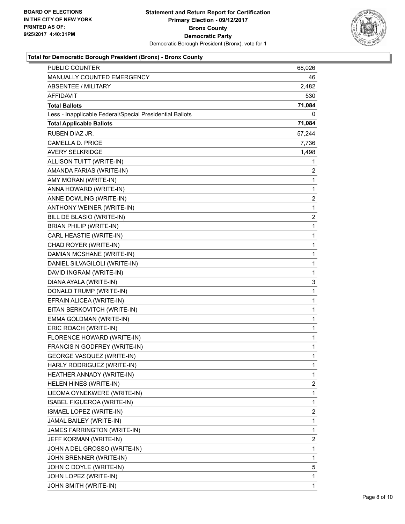

### **Total for Democratic Borough President (Bronx) - Bronx County**

| <b>PUBLIC COUNTER</b>                                    | 68,026       |
|----------------------------------------------------------|--------------|
| MANUALLY COUNTED EMERGENCY                               | 46           |
| <b>ABSENTEE / MILITARY</b>                               | 2,482        |
| AFFIDAVIT                                                | 530          |
| <b>Total Ballots</b>                                     | 71,084       |
| Less - Inapplicable Federal/Special Presidential Ballots | 0            |
| <b>Total Applicable Ballots</b>                          | 71,084       |
| <b>RUBEN DIAZ JR.</b>                                    | 57,244       |
| <b>CAMELLA D. PRICE</b>                                  | 7,736        |
| <b>AVERY SELKRIDGE</b>                                   | 1,498        |
| ALLISON TUITT (WRITE-IN)                                 | 1            |
| AMANDA FARIAS (WRITE-IN)                                 | 2            |
| AMY MORAN (WRITE-IN)                                     | 1            |
| ANNA HOWARD (WRITE-IN)                                   | 1            |
| ANNE DOWLING (WRITE-IN)                                  | 2            |
| ANTHONY WEINER (WRITE-IN)                                | 1            |
| BILL DE BLASIO (WRITE-IN)                                | 2            |
| <b>BRIAN PHILIP (WRITE-IN)</b>                           | 1            |
| CARL HEASTIE (WRITE-IN)                                  | 1            |
| CHAD ROYER (WRITE-IN)                                    | 1            |
| DAMIAN MCSHANE (WRITE-IN)                                | 1            |
| DANIEL SILVAGILOLI (WRITE-IN)                            | 1            |
| DAVID INGRAM (WRITE-IN)                                  | 1            |
| DIANA AYALA (WRITE-IN)                                   | 3            |
| DONALD TRUMP (WRITE-IN)                                  | 1            |
| EFRAIN ALICEA (WRITE-IN)                                 | 1            |
| EITAN BERKOVITCH (WRITE-IN)                              | 1            |
| EMMA GOLDMAN (WRITE-IN)                                  | 1            |
| ERIC ROACH (WRITE-IN)                                    | 1            |
| FLORENCE HOWARD (WRITE-IN)                               | 1            |
| FRANCIS N GODFREY (WRITE-IN)                             | 1            |
| <b>GEORGE VASQUEZ (WRITE-IN)</b>                         | $\mathbf{1}$ |
| HARLY RODRIGUEZ (WRITE-IN)                               | 1            |
| HEATHER ANNADY (WRITE-IN)                                | 1            |
| HELEN HINES (WRITE-IN)                                   | 2            |
| IJEOMA OYNEKWERE (WRITE-IN)                              | 1            |
| ISABEL FIGUEROA (WRITE-IN)                               | 1            |
| ISMAEL LOPEZ (WRITE-IN)                                  | 2            |
| JAMAL BAILEY (WRITE-IN)                                  | 1            |
| JAMES FARRINGTON (WRITE-IN)                              | 1            |
| JEFF KORMAN (WRITE-IN)                                   | 2            |
| JOHN A DEL GROSSO (WRITE-IN)                             | 1            |
| JOHN BRENNER (WRITE-IN)                                  | 1            |
| JOHN C DOYLE (WRITE-IN)                                  | 5            |
| JOHN LOPEZ (WRITE-IN)                                    | 1            |
| JOHN SMITH (WRITE-IN)                                    | 1            |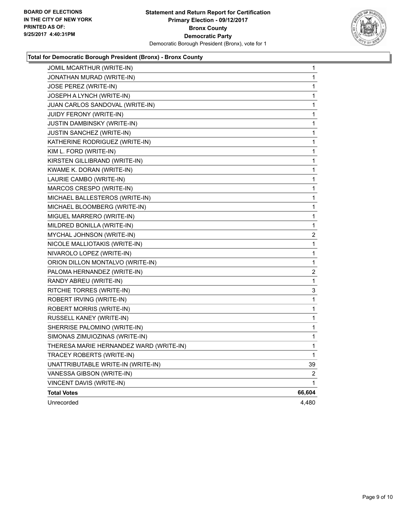

### **Total for Democratic Borough President (Bronx) - Bronx County**

| JOMIL MCARTHUR (WRITE-IN)               | 1      |
|-----------------------------------------|--------|
| JONATHAN MURAD (WRITE-IN)               | 1      |
| JOSE PEREZ (WRITE-IN)                   | 1      |
| JOSEPH A LYNCH (WRITE-IN)               | 1      |
| JUAN CARLOS SANDOVAL (WRITE-IN)         | 1      |
| JUIDY FERONY (WRITE-IN)                 | 1      |
| JUSTIN DAMBINSKY (WRITE-IN)             | 1      |
| JUSTIN SANCHEZ (WRITE-IN)               | 1      |
| KATHERINE RODRIGUEZ (WRITE-IN)          | 1      |
| KIM L. FORD (WRITE-IN)                  | 1      |
| KIRSTEN GILLIBRAND (WRITE-IN)           | 1      |
| KWAME K. DORAN (WRITE-IN)               | 1      |
| LAURIE CAMBO (WRITE-IN)                 | 1      |
| MARCOS CRESPO (WRITE-IN)                | 1      |
| MICHAEL BALLESTEROS (WRITE-IN)          | 1      |
| MICHAEL BLOOMBERG (WRITE-IN)            | 1      |
| MIGUEL MARRERO (WRITE-IN)               | 1      |
| MILDRED BONILLA (WRITE-IN)              | 1      |
| MYCHAL JOHNSON (WRITE-IN)               | 2      |
| NICOLE MALLIOTAKIS (WRITE-IN)           | 1      |
| NIVAROLO LOPEZ (WRITE-IN)               | 1      |
| ORION DILLON MONTALVO (WRITE-IN)        | 1      |
| PALOMA HERNANDEZ (WRITE-IN)             | 2      |
| RANDY ABREU (WRITE-IN)                  | 1      |
| RITCHIE TORRES (WRITE-IN)               | 3      |
| ROBERT IRVING (WRITE-IN)                | 1      |
| ROBERT MORRIS (WRITE-IN)                | 1      |
| RUSSELL KANEY (WRITE-IN)                | 1      |
| SHERRISE PALOMINO (WRITE-IN)            | 1      |
| SIMONAS ZIMUIOZINAS (WRITE-IN)          | 1      |
| THERESA MARIE HERNANDEZ WARD (WRITE-IN) | 1      |
| TRACEY ROBERTS (WRITE-IN)               | 1      |
| UNATTRIBUTABLE WRITE-IN (WRITE-IN)      | 39     |
| VANESSA GIBSON (WRITE-IN)               | 2      |
| VINCENT DAVIS (WRITE-IN)                | 1      |
| <b>Total Votes</b>                      | 66,604 |
| Unrecorded                              | 4,480  |